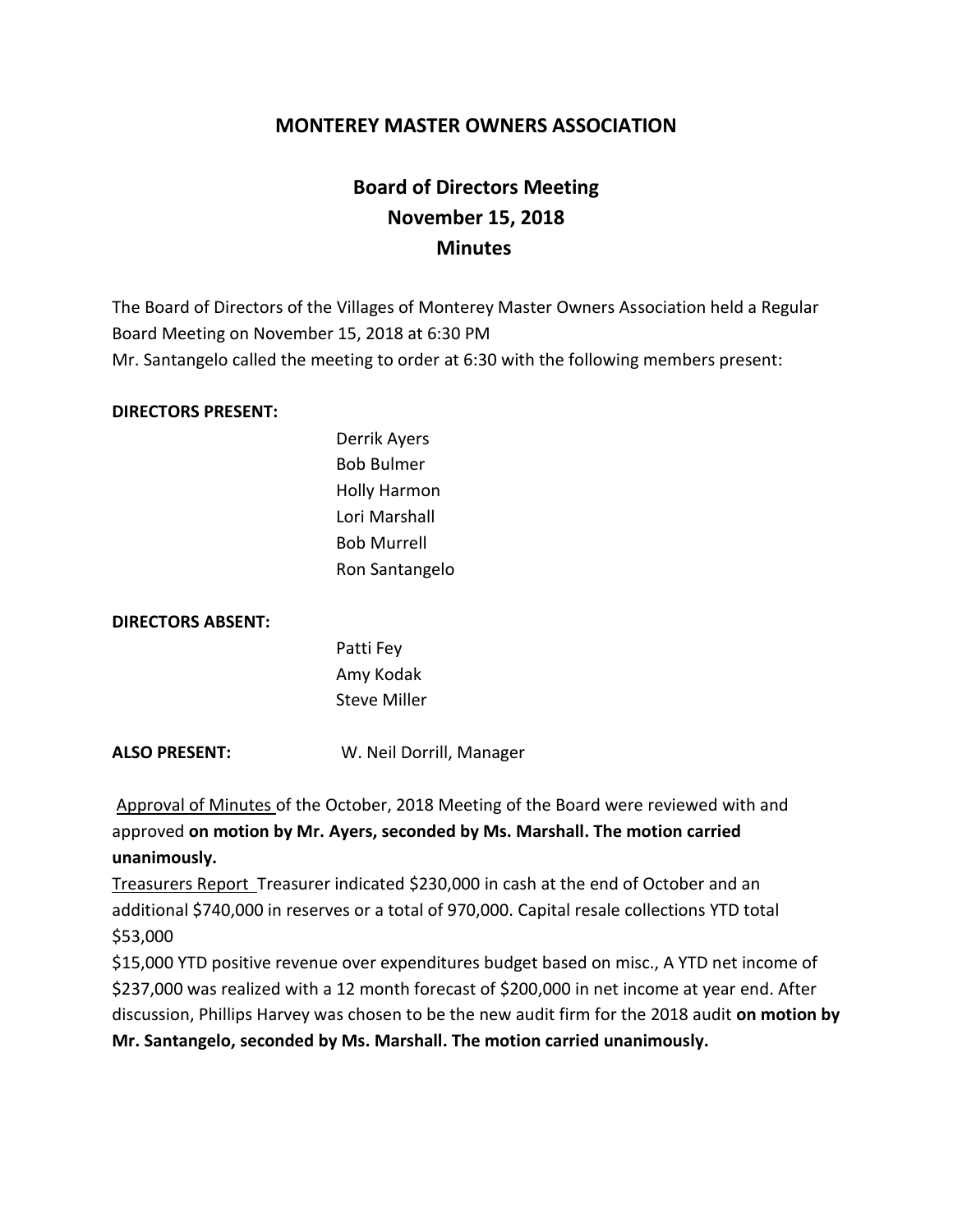# **MONTEREY MASTER OWNERS ASSOCIATION**

# **Board of Directors Meeting November 15, 2018 Minutes**

The Board of Directors of the Villages of Monterey Master Owners Association held a Regular Board Meeting on November 15, 2018 at 6:30 PM Mr. Santangelo called the meeting to order at 6:30 with the following members present:

#### **DIRECTORS PRESENT:**

Derrik Ayers Bob Bulmer Holly Harmon Lori Marshall Bob Murrell Ron Santangelo

#### **DIRECTORS ABSENT:**

Patti Fey Amy Kodak Steve Miller

**ALSO PRESENT:** W. Neil Dorrill, Manager

Approval of Minutes of the October, 2018 Meeting of the Board were reviewed with and approved **on motion by Mr. Ayers, seconded by Ms. Marshall. The motion carried unanimously.**

Treasurers Report Treasurer indicated \$230,000 in cash at the end of October and an additional \$740,000 in reserves or a total of 970,000. Capital resale collections YTD total \$53,000

\$15,000 YTD positive revenue over expenditures budget based on misc., A YTD net income of \$237,000 was realized with a 12 month forecast of \$200,000 in net income at year end. After discussion, Phillips Harvey was chosen to be the new audit firm for the 2018 audit **on motion by Mr. Santangelo, seconded by Ms. Marshall. The motion carried unanimously.**